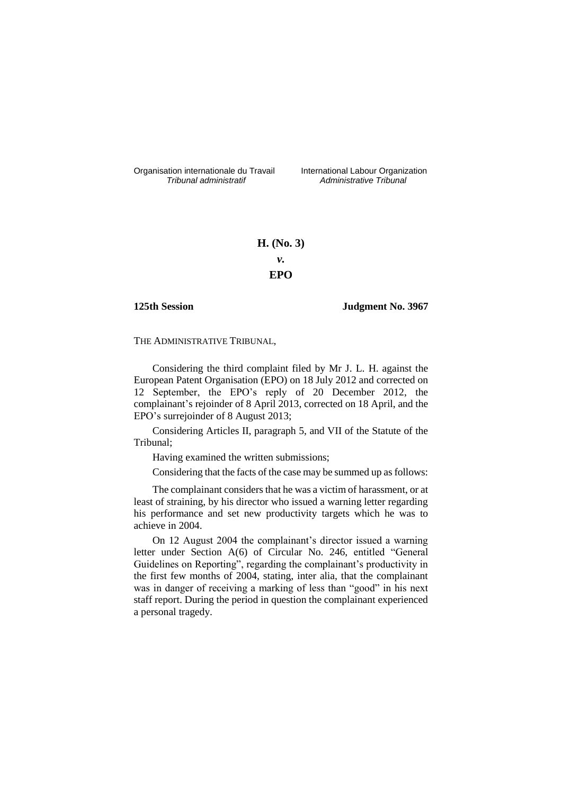Organisation internationale du Travail liternational Labour Organization<br> *Tribunal administratif Administrative Tribunal* 

*Tribunal administratif Administrative Tribunal*

# **H. (No. 3)** *v.* **EPO**

## **125th Session Judgment No. 3967**

THE ADMINISTRATIVE TRIBUNAL,

Considering the third complaint filed by Mr J. L. H. against the European Patent Organisation (EPO) on 18 July 2012 and corrected on 12 September, the EPO's reply of 20 December 2012, the complainant's rejoinder of 8 April 2013, corrected on 18 April, and the EPO's surrejoinder of 8 August 2013;

Considering Articles II, paragraph 5, and VII of the Statute of the Tribunal;

Having examined the written submissions;

Considering that the facts of the case may be summed up as follows:

The complainant considers that he was a victim of harassment, or at least of straining, by his director who issued a warning letter regarding his performance and set new productivity targets which he was to achieve in 2004.

On 12 August 2004 the complainant's director issued a warning letter under Section A(6) of Circular No. 246, entitled "General Guidelines on Reporting", regarding the complainant's productivity in the first few months of 2004, stating, inter alia, that the complainant was in danger of receiving a marking of less than "good" in his next staff report. During the period in question the complainant experienced a personal tragedy.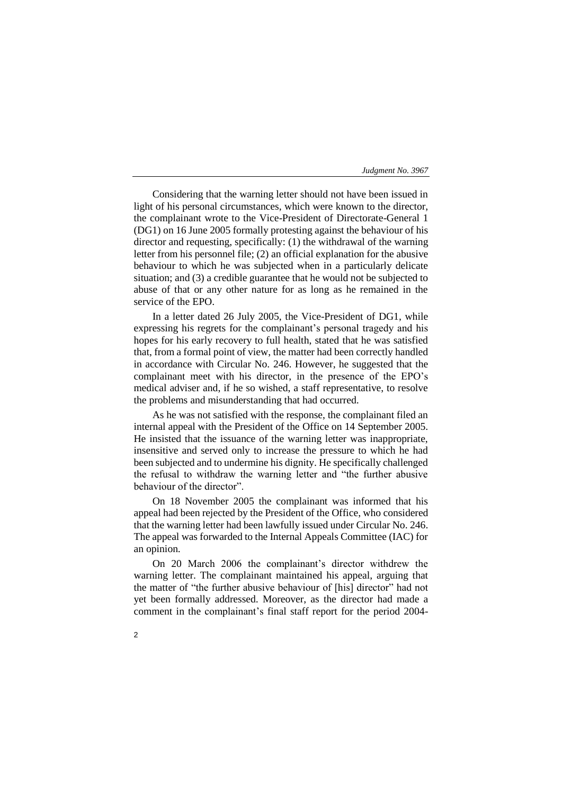Considering that the warning letter should not have been issued in light of his personal circumstances, which were known to the director, the complainant wrote to the Vice-President of Directorate-General 1 (DG1) on 16 June 2005 formally protesting against the behaviour of his director and requesting, specifically: (1) the withdrawal of the warning letter from his personnel file; (2) an official explanation for the abusive behaviour to which he was subjected when in a particularly delicate situation; and (3) a credible guarantee that he would not be subjected to abuse of that or any other nature for as long as he remained in the service of the EPO.

In a letter dated 26 July 2005, the Vice-President of DG1, while expressing his regrets for the complainant's personal tragedy and his hopes for his early recovery to full health, stated that he was satisfied that, from a formal point of view, the matter had been correctly handled in accordance with Circular No. 246. However, he suggested that the complainant meet with his director, in the presence of the EPO's medical adviser and, if he so wished, a staff representative, to resolve the problems and misunderstanding that had occurred.

As he was not satisfied with the response, the complainant filed an internal appeal with the President of the Office on 14 September 2005. He insisted that the issuance of the warning letter was inappropriate, insensitive and served only to increase the pressure to which he had been subjected and to undermine his dignity. He specifically challenged the refusal to withdraw the warning letter and "the further abusive behaviour of the director".

On 18 November 2005 the complainant was informed that his appeal had been rejected by the President of the Office, who considered that the warning letter had been lawfully issued under Circular No. 246. The appeal was forwarded to the Internal Appeals Committee (IAC) for an opinion.

On 20 March 2006 the complainant's director withdrew the warning letter. The complainant maintained his appeal, arguing that the matter of "the further abusive behaviour of [his] director" had not yet been formally addressed. Moreover, as the director had made a comment in the complainant's final staff report for the period 2004-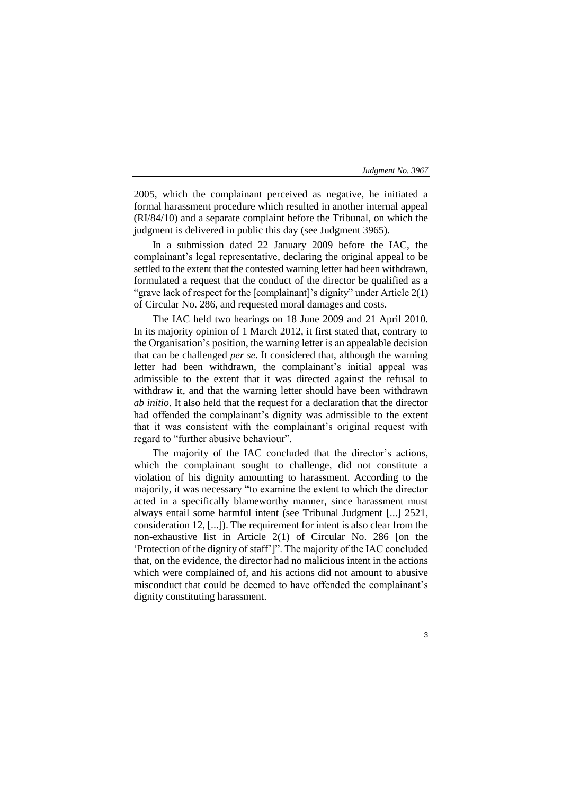2005, which the complainant perceived as negative, he initiated a formal harassment procedure which resulted in another internal appeal (RI/84/10) and a separate complaint before the Tribunal, on which the judgment is delivered in public this day (see Judgment 3965).

In a submission dated 22 January 2009 before the IAC, the complainant's legal representative, declaring the original appeal to be settled to the extent that the contested warning letter had been withdrawn, formulated a request that the conduct of the director be qualified as a "grave lack of respect for the [complainant]'s dignity" under Article 2(1) of Circular No. 286, and requested moral damages and costs.

The IAC held two hearings on 18 June 2009 and 21 April 2010. In its majority opinion of 1 March 2012, it first stated that, contrary to the Organisation's position, the warning letter is an appealable decision that can be challenged *per se*. It considered that, although the warning letter had been withdrawn, the complainant's initial appeal was admissible to the extent that it was directed against the refusal to withdraw it, and that the warning letter should have been withdrawn *ab initio*. It also held that the request for a declaration that the director had offended the complainant's dignity was admissible to the extent that it was consistent with the complainant's original request with regard to "further abusive behaviour".

The majority of the IAC concluded that the director's actions, which the complainant sought to challenge, did not constitute a violation of his dignity amounting to harassment. According to the majority, it was necessary "to examine the extent to which the director acted in a specifically blameworthy manner, since harassment must always entail some harmful intent (see Tribunal Judgment [...] 2521, consideration 12, [...]). The requirement for intent is also clear from the non-exhaustive list in Article 2(1) of Circular No. 286 [on the 'Protection of the dignity of staff']". The majority of the IAC concluded that, on the evidence, the director had no malicious intent in the actions which were complained of, and his actions did not amount to abusive misconduct that could be deemed to have offended the complainant's dignity constituting harassment.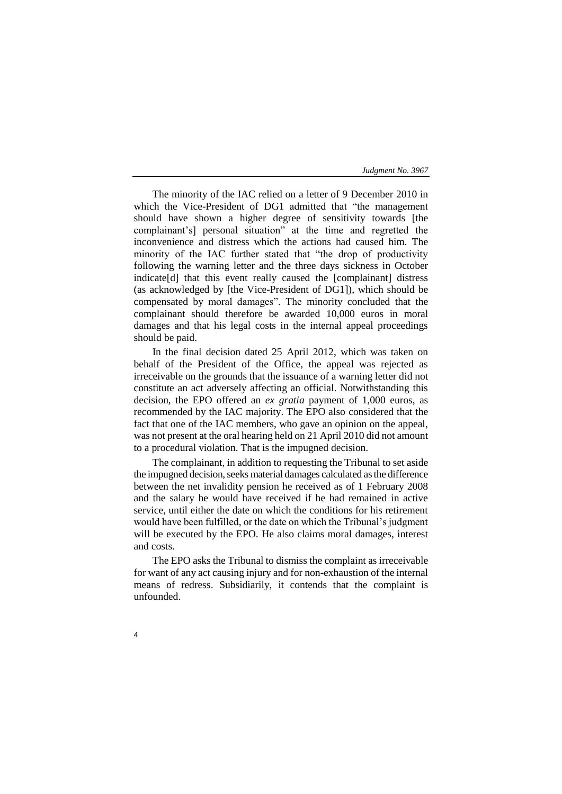The minority of the IAC relied on a letter of 9 December 2010 in which the Vice-President of DG1 admitted that "the management should have shown a higher degree of sensitivity towards [the complainant's] personal situation" at the time and regretted the inconvenience and distress which the actions had caused him. The minority of the IAC further stated that "the drop of productivity following the warning letter and the three days sickness in October indicate[d] that this event really caused the [complainant] distress (as acknowledged by [the Vice-President of DG1]), which should be compensated by moral damages". The minority concluded that the complainant should therefore be awarded 10,000 euros in moral damages and that his legal costs in the internal appeal proceedings should be paid.

In the final decision dated 25 April 2012, which was taken on behalf of the President of the Office, the appeal was rejected as irreceivable on the grounds that the issuance of a warning letter did not constitute an act adversely affecting an official. Notwithstanding this decision, the EPO offered an *ex gratia* payment of 1,000 euros, as recommended by the IAC majority. The EPO also considered that the fact that one of the IAC members, who gave an opinion on the appeal, was not present at the oral hearing held on 21 April 2010 did not amount to a procedural violation. That is the impugned decision.

The complainant, in addition to requesting the Tribunal to set aside the impugned decision, seeks material damages calculated as the difference between the net invalidity pension he received as of 1 February 2008 and the salary he would have received if he had remained in active service, until either the date on which the conditions for his retirement would have been fulfilled, or the date on which the Tribunal's judgment will be executed by the EPO. He also claims moral damages, interest and costs.

The EPO asks the Tribunal to dismiss the complaint as irreceivable for want of any act causing injury and for non-exhaustion of the internal means of redress. Subsidiarily, it contends that the complaint is unfounded.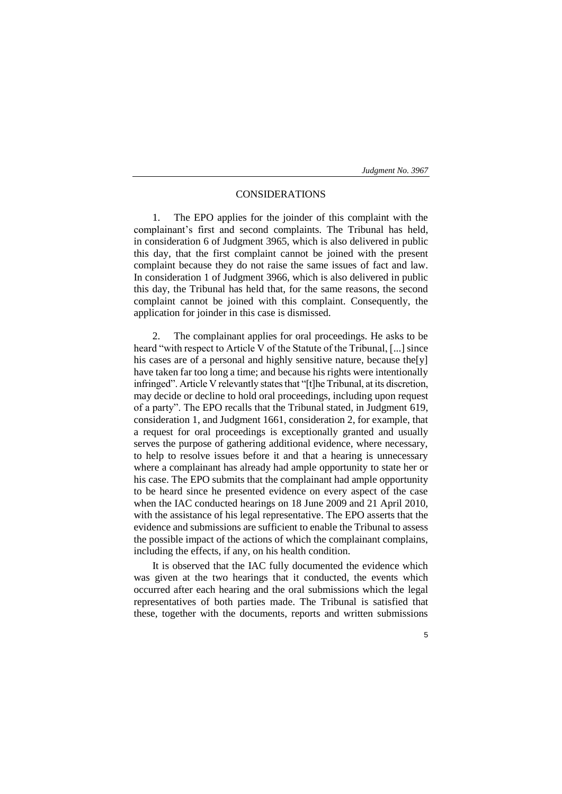# CONSIDERATIONS

1. The EPO applies for the joinder of this complaint with the complainant's first and second complaints. The Tribunal has held, in consideration 6 of Judgment 3965, which is also delivered in public this day, that the first complaint cannot be joined with the present complaint because they do not raise the same issues of fact and law. In consideration 1 of Judgment 3966, which is also delivered in public this day, the Tribunal has held that, for the same reasons, the second complaint cannot be joined with this complaint. Consequently, the application for joinder in this case is dismissed.

The complainant applies for oral proceedings. He asks to be heard "with respect to Article V of the Statute of the Tribunal, [...] since his cases are of a personal and highly sensitive nature, because the [y] have taken far too long a time; and because his rights were intentionally infringed". Article V relevantly states that "[t]he Tribunal, at its discretion, may decide or decline to hold oral proceedings, including upon request of a party". The EPO recalls that the Tribunal stated, in Judgment 619, consideration 1, and Judgment 1661, consideration 2, for example, that a request for oral proceedings is exceptionally granted and usually serves the purpose of gathering additional evidence, where necessary, to help to resolve issues before it and that a hearing is unnecessary where a complainant has already had ample opportunity to state her or his case. The EPO submits that the complainant had ample opportunity to be heard since he presented evidence on every aspect of the case when the IAC conducted hearings on 18 June 2009 and 21 April 2010, with the assistance of his legal representative. The EPO asserts that the evidence and submissions are sufficient to enable the Tribunal to assess the possible impact of the actions of which the complainant complains, including the effects, if any, on his health condition.

It is observed that the IAC fully documented the evidence which was given at the two hearings that it conducted, the events which occurred after each hearing and the oral submissions which the legal representatives of both parties made. The Tribunal is satisfied that these, together with the documents, reports and written submissions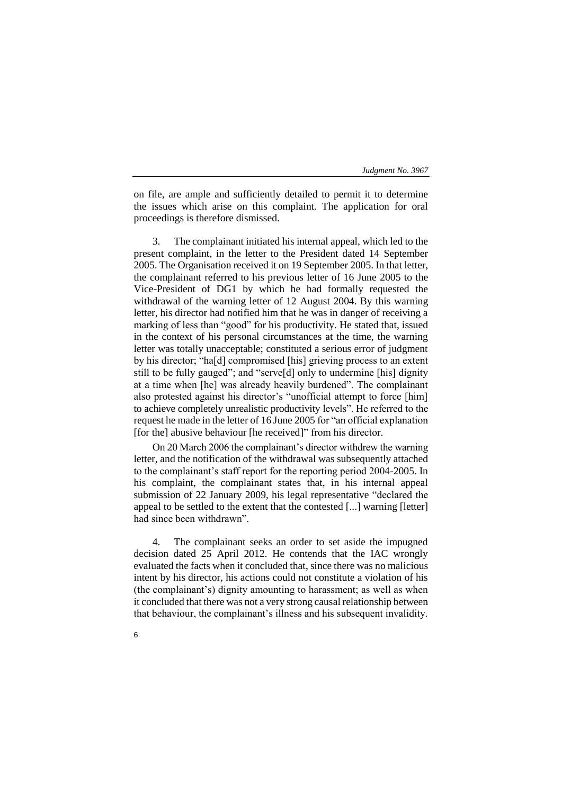on file, are ample and sufficiently detailed to permit it to determine the issues which arise on this complaint. The application for oral proceedings is therefore dismissed.

3. The complainant initiated his internal appeal, which led to the present complaint, in the letter to the President dated 14 September 2005. The Organisation received it on 19 September 2005. In that letter, the complainant referred to his previous letter of 16 June 2005 to the Vice-President of DG1 by which he had formally requested the withdrawal of the warning letter of 12 August 2004. By this warning letter, his director had notified him that he was in danger of receiving a marking of less than "good" for his productivity. He stated that, issued in the context of his personal circumstances at the time, the warning letter was totally unacceptable; constituted a serious error of judgment by his director; "ha[d] compromised [his] grieving process to an extent still to be fully gauged"; and "serve[d] only to undermine [his] dignity at a time when [he] was already heavily burdened". The complainant also protested against his director's "unofficial attempt to force [him] to achieve completely unrealistic productivity levels". He referred to the request he made in the letter of 16 June 2005 for "an official explanation [for the] abusive behaviour [he received]" from his director.

On 20 March 2006 the complainant's director withdrew the warning letter, and the notification of the withdrawal was subsequently attached to the complainant's staff report for the reporting period 2004-2005. In his complaint, the complainant states that, in his internal appeal submission of 22 January 2009, his legal representative "declared the appeal to be settled to the extent that the contested [...] warning [letter] had since been withdrawn".

4. The complainant seeks an order to set aside the impugned decision dated 25 April 2012. He contends that the IAC wrongly evaluated the facts when it concluded that, since there was no malicious intent by his director, his actions could not constitute a violation of his (the complainant's) dignity amounting to harassment; as well as when it concluded that there was not a very strong causal relationship between that behaviour, the complainant's illness and his subsequent invalidity.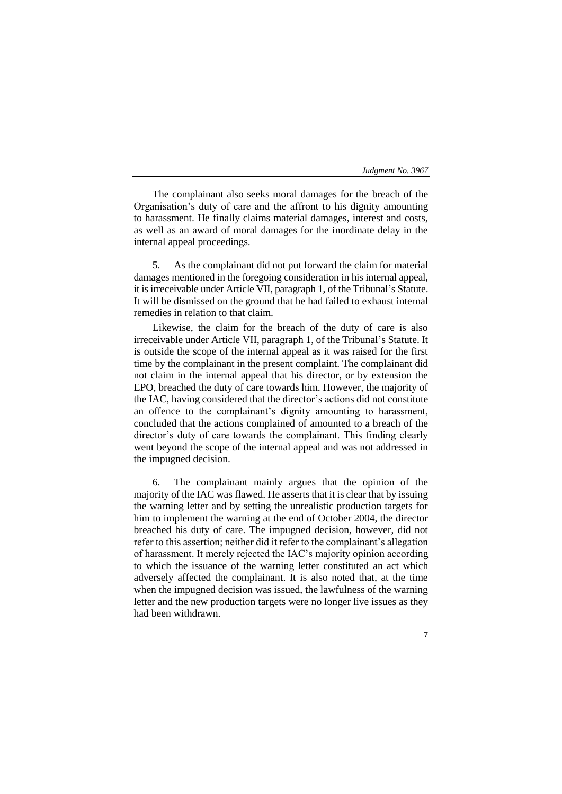The complainant also seeks moral damages for the breach of the Organisation's duty of care and the affront to his dignity amounting to harassment. He finally claims material damages, interest and costs, as well as an award of moral damages for the inordinate delay in the internal appeal proceedings.

5. As the complainant did not put forward the claim for material damages mentioned in the foregoing consideration in his internal appeal, it is irreceivable under Article VII, paragraph 1, of the Tribunal's Statute. It will be dismissed on the ground that he had failed to exhaust internal remedies in relation to that claim.

Likewise, the claim for the breach of the duty of care is also irreceivable under Article VII, paragraph 1, of the Tribunal's Statute. It is outside the scope of the internal appeal as it was raised for the first time by the complainant in the present complaint. The complainant did not claim in the internal appeal that his director, or by extension the EPO, breached the duty of care towards him. However, the majority of the IAC, having considered that the director's actions did not constitute an offence to the complainant's dignity amounting to harassment, concluded that the actions complained of amounted to a breach of the director's duty of care towards the complainant. This finding clearly went beyond the scope of the internal appeal and was not addressed in the impugned decision.

6. The complainant mainly argues that the opinion of the majority of the IAC was flawed. He asserts that it is clear that by issuing the warning letter and by setting the unrealistic production targets for him to implement the warning at the end of October 2004, the director breached his duty of care. The impugned decision, however, did not refer to this assertion; neither did it refer to the complainant's allegation of harassment. It merely rejected the IAC's majority opinion according to which the issuance of the warning letter constituted an act which adversely affected the complainant. It is also noted that, at the time when the impugned decision was issued, the lawfulness of the warning letter and the new production targets were no longer live issues as they had been withdrawn.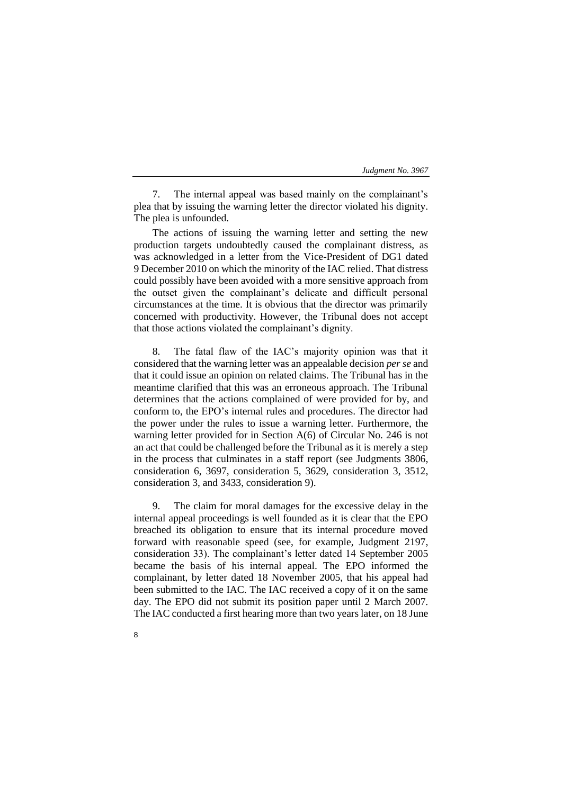7. The internal appeal was based mainly on the complainant's plea that by issuing the warning letter the director violated his dignity. The plea is unfounded.

The actions of issuing the warning letter and setting the new production targets undoubtedly caused the complainant distress, as was acknowledged in a letter from the Vice-President of DG1 dated 9 December 2010 on which the minority of the IAC relied. That distress could possibly have been avoided with a more sensitive approach from the outset given the complainant's delicate and difficult personal circumstances at the time. It is obvious that the director was primarily concerned with productivity. However, the Tribunal does not accept that those actions violated the complainant's dignity.

8. The fatal flaw of the IAC's majority opinion was that it considered that the warning letter was an appealable decision *per se* and that it could issue an opinion on related claims. The Tribunal has in the meantime clarified that this was an erroneous approach. The Tribunal determines that the actions complained of were provided for by, and conform to, the EPO's internal rules and procedures. The director had the power under the rules to issue a warning letter. Furthermore, the warning letter provided for in Section A(6) of Circular No. 246 is not an act that could be challenged before the Tribunal as it is merely a step in the process that culminates in a staff report (see Judgments 3806, consideration 6, 3697, consideration 5, 3629, consideration 3, 3512, consideration 3, and 3433, consideration 9).

9. The claim for moral damages for the excessive delay in the internal appeal proceedings is well founded as it is clear that the EPO breached its obligation to ensure that its internal procedure moved forward with reasonable speed (see, for example, Judgment 2197, consideration 33). The complainant's letter dated 14 September 2005 became the basis of his internal appeal. The EPO informed the complainant, by letter dated 18 November 2005, that his appeal had been submitted to the IAC. The IAC received a copy of it on the same day. The EPO did not submit its position paper until 2 March 2007. The IAC conducted a first hearing more than two years later, on 18 June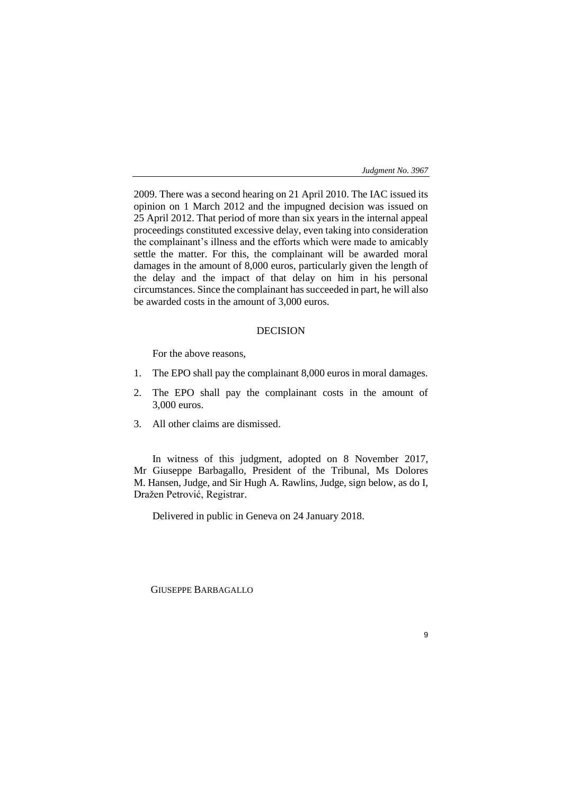2009. There was a second hearing on 21 April 2010. The IAC issued its opinion on 1 March 2012 and the impugned decision was issued on 25 April 2012. That period of more than six years in the internal appeal proceedings constituted excessive delay, even taking into consideration the complainant's illness and the efforts which were made to amicably settle the matter. For this, the complainant will be awarded moral damages in the amount of 8,000 euros, particularly given the length of the delay and the impact of that delay on him in his personal circumstances. Since the complainant has succeeded in part, he will also be awarded costs in the amount of 3,000 euros.

# DECISION

For the above reasons,

- 1. The EPO shall pay the complainant 8,000 euros in moral damages.
- 2. The EPO shall pay the complainant costs in the amount of 3,000 euros.
- 3. All other claims are dismissed.

In witness of this judgment, adopted on 8 November 2017, Mr Giuseppe Barbagallo, President of the Tribunal, Ms Dolores M. Hansen, Judge, and Sir Hugh A. Rawlins, Judge, sign below, as do I, Dražen Petrović, Registrar.

Delivered in public in Geneva on 24 January 2018.

GIUSEPPE BARBAGALLO